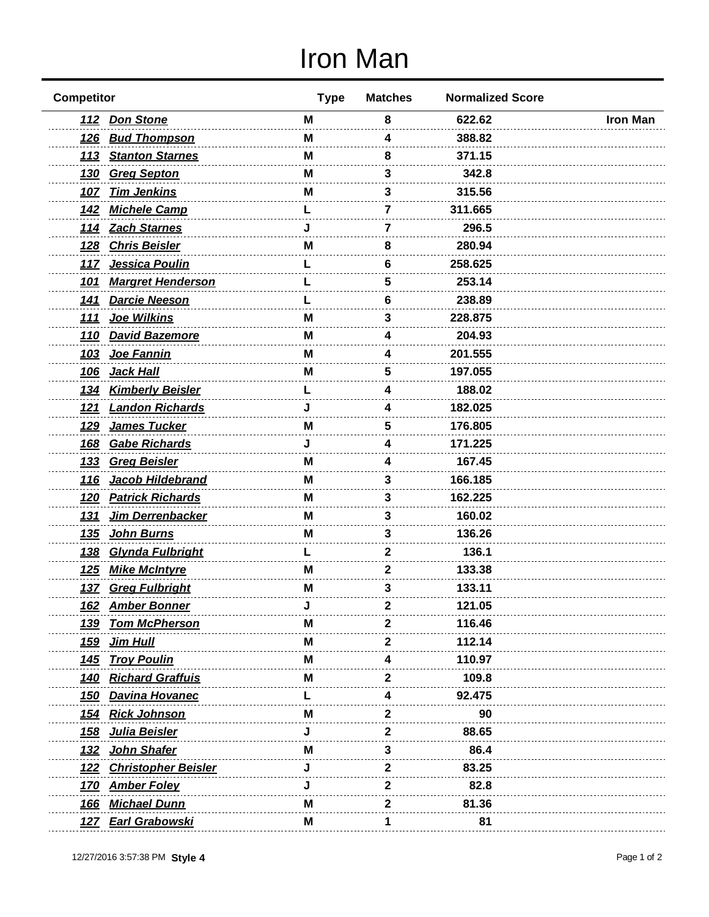## Iron Man

| <b>Competitor</b>                         | <b>Type</b> | <b>Matches</b> | <b>Normalized Score</b> |                 |
|-------------------------------------------|-------------|----------------|-------------------------|-----------------|
| 112 Don Stone                             | М           | 8              | 622.62                  | <b>Iron Man</b> |
| 126 Bud Thompson                          | М           | 4              | 388.82                  |                 |
| <b>Stanton Starnes</b><br><u> 113</u>     | М           | 8              | 371.15                  |                 |
| 130 Greg Septon                           | м           | 3              | 342.8                   |                 |
| 107 Tim Jenkins                           | M           | 3              | 315.56                  |                 |
| <b>Michele Camp</b><br><u> 142</u>        |             | 7              | 311.665                 |                 |
| 114 Zach Starnes                          |             | 7              | 296.5                   |                 |
| <b>Chris Beisler</b><br><u> 128</u>       | M           | 8              | 280.94                  |                 |
| Jessica Poulin<br>117                     |             | 6              | 258.625                 |                 |
| <b>Margret Henderson</b><br><u> 101</u>   |             | 5              | 253.14                  |                 |
| <b>Darcie Neeson</b><br><u>141</u>        |             | 6              | 238.89                  |                 |
| 111 Joe Wilkins                           | M           | 3              | 228.875                 |                 |
| <u>110</u><br><b>David Bazemore</b>       | М           | 4              | 204.93                  |                 |
| <u>103</u><br>Joe Fannin                  | М           | 4              | 201.555                 |                 |
| <u>106</u><br><u>Jack Hall</u>            | Μ           | 5              | 197.055                 |                 |
| <b>Kimberly Beisler</b><br><u>134</u>     |             | 4              | 188.02                  |                 |
| <b>Landon Richards</b><br><u>121</u>      |             | 4              | 182.025                 |                 |
| James Tucker<br><u>129</u>                | M           | 5              | 176.805                 |                 |
| <b>Gabe Richards</b><br><b>168</b>        |             | 4              | 171.225                 |                 |
| <b>Greg Beisler</b><br><u>133</u>         | M           | 4              | 167.45                  |                 |
| Jacob Hildebrand<br><u>116</u>            | М           | 3              | 166.185                 |                 |
| 120 Patrick Richards                      | Μ           | 3              | 162.225                 |                 |
| Jim Derrenbacker<br><u>131</u>            | М           | 3              | 160.02                  |                 |
| John Burns<br><u>135</u>                  | М           | 3              | 136.26                  |                 |
| Glynda Fulbright<br><u> 138</u>           |             | 2              | 136.1                   |                 |
| <b>Mike McIntyre</b><br><u>125</u>        | М           | 2              | 133.38                  |                 |
| 137 Greg Fulbright                        | М           | 3              | 133.11                  |                 |
| <u>162</u><br><b>Amber Bonner</b>         |             |                | 121.05                  |                 |
| <b>Tom McPherson</b><br><u>139</u>        | м           | 2              | 116.46                  |                 |
| Jim Hull<br><u>159</u>                    | M           | 2              | 112.14                  |                 |
| 145 Troy Poulin                           | м           |                | 110.97                  |                 |
| 140 Richard Graffuis                      | м           |                | 109.8                   |                 |
| <b>Davina Hovanec</b><br><u> 150</u>      |             |                | 92.475                  |                 |
| 154 Rick Johnson                          | м           | 2              | 90                      |                 |
| Julia Beisler<br><u> 158</u>              |             | 2              | 88.65                   |                 |
| John Shafer<br><u> 132</u>                | М           | 3              | 86.4                    |                 |
| <b>Christopher Beisler</b><br><u> 122</u> |             | 2              | 83.25                   |                 |
| 170 Amber Foley                           |             | 2              | 82.8                    |                 |
| 166 Michael Dunn                          | м           | 2              | 81.36                   |                 |
| <u>127 Earl Grabowski</u>                 | M           |                | 81                      |                 |